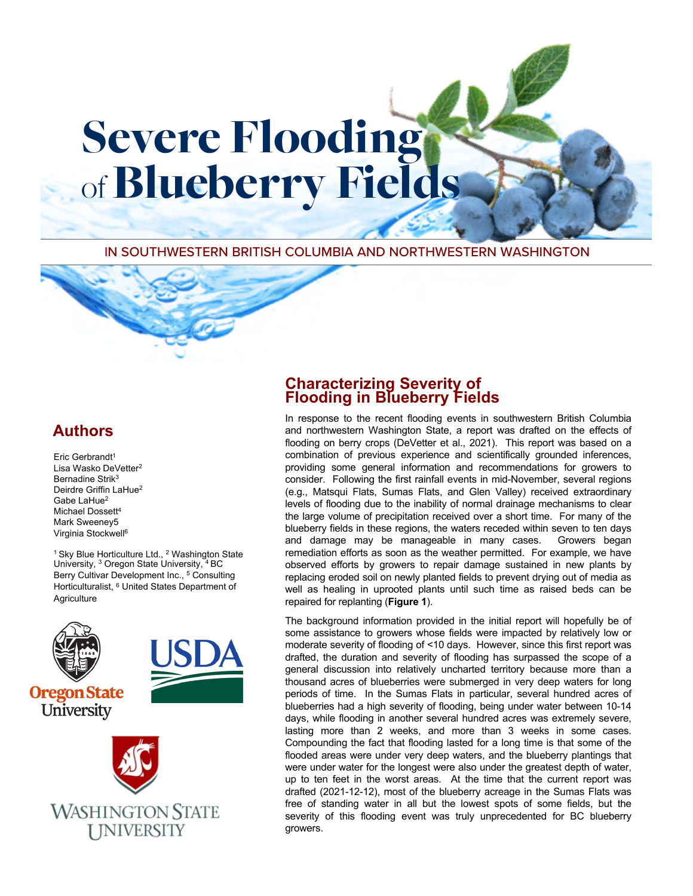IN SOUTHWESTERN BRITISH COLUMBIA AND NORTHWESTERN WASHINGTON

Severe Flooding

of **Blueberry Fields** 

# **\$uthors**

Eric Gerbrandt<sup>1</sup> Lisa Wasko DeVetter<sup>2</sup> Bernadine Strik<sup>3</sup> Deirdre Griffin LaHue<sup>2</sup> Gabe I aHue<sup>2</sup> Michael Dossett<sup>4</sup> Mark Sweeney5 Virginia Stockwell

<sup>1</sup> Sky Blue Horticulture Ltd., <sup>2</sup> Washington State University, <sup>3</sup> Oregon State University, <sup>4</sup> BC Berry Cultivar Development Inc., <sup>5</sup> Consulting Horticulturalist, <sup>6</sup> United States Department of **Agriculture** 



#### **Characterizing Severity of Flooding in Blueberry Fields**

In response to the recent flooding events in southwestern British Columbia and northwestern Washington State, a report was drafted on the effects of flooding on berry crops (DeVetter et al., 2021). This report was based on a combination of previous experience and scientifically grounded inferences, providing some general information and recommendations for growers to consider. Following the first rainfall events in mid-November, several regions (e.g., Matsqui Flats, Sumas Flats, and Glen Valley) received extraordinary levels of flooding due to the inability of normal drainage mechanisms to clear the large volume of precipitation received over a short time. For many of the blueberry fields in these regions, the waters receded within seven to ten days and damage may be manageable in many cases. Growers began remediation efforts as soon as the weather permitted. For example, we have observed efforts by growers to repair damage sustained in new plants by replacing eroded soil on newly planted fields to prevent drying out of media as well as healing in uprooted plants until such time as raised beds can be repaired for replanting (**Figure 1**).

The background information provided in the initial report will hopefully be of some assistance to growers whose fields were impacted by relatively low or moderate severity of flooding of <10 days. However, since this first report was drafted, the duration and severity of flooding has surpassed the scope of a general discussion into relatively uncharted territory because more than a thousand acres of blueberries were submerged in very deep waters for long periods of time. In the Sumas Flats in particular, several hundred acres of blueberries had a high severity of flooding, being under water between 10-14 days, while flooding in another several hundred acres was extremely severe, lasting more than 2 weeks, and more than 3 weeks in some cases. Compounding the fact that flooding lasted for a long time is that some of the flooded areas were under very deep waters, and the blueberry plantings that were under water for the longest were also under the greatest depth of water, up to ten feet in the worst areas. At the time that the current report was drafted (2021-12-12), most of the blueberry acreage in the Sumas Flats was free of standing water in all but the lowest spots of some fields, but the severity of this flooding event was truly unprecedented for BC blueberry growers.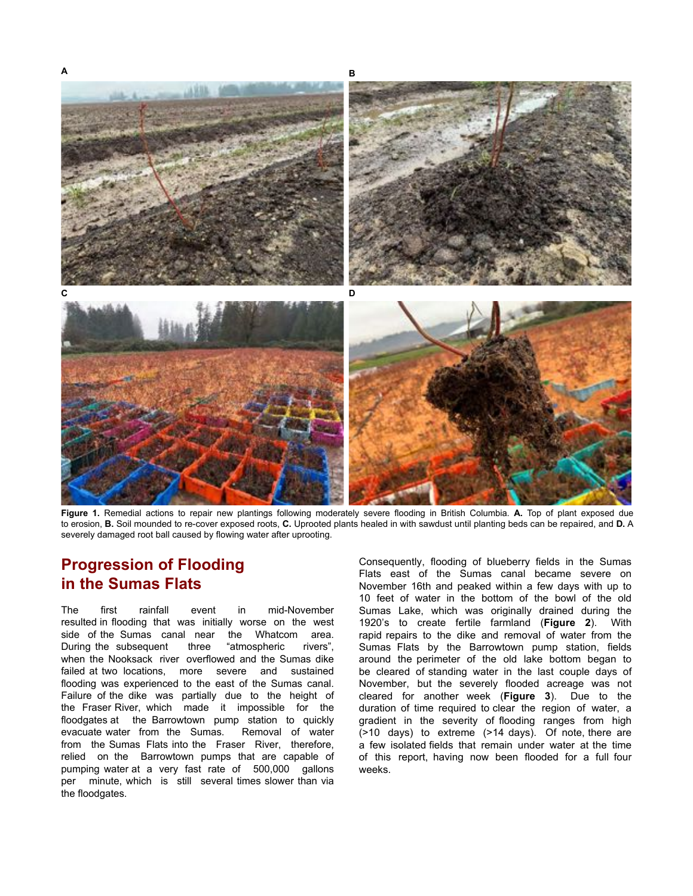

Figure 1. Remedial actions to repair new plantings following moderately severe flooding in British Columbia. **A** Top of plant exposed due to erosion, **B**. Soil mounded to re-cover exposed roots, C. Uprooted plants healed in with sawdust until planting beds can be repaired, and D. A severely damaged root ball caused by flowing water after uprooting.

## **Progression of Flooding in the Sumas Flats**

The first rainfall event in mid-November resulted in flooding that was initially worse on the west side of the Sumas canal near the Whatcom area. During the subsequent three "atmospheric rivers", when the Nooksack river overflowed and the Sumas dike failed at two locations, more severe and sustained flooding was experienced to the east of the Sumas canal. Failure of the dike was partially due to the height of the Fraser River, which made it impossible for the floodgates at the Barrowtown pump station to quickly evacuate water from the Sumas. Removal of water from the Sumas Flats into the Fraser River, therefore, relied on the Barrowtown pumps that are capable of pumping water at a very fast rate of 500,000 gallons per minute, which is still several times slower than via the floodgates.

Consequently, flooding of blueberry fields in the Sumas Flats east of the Sumas canal became severe on November 16th and peaked within a few days with up to 10 feet of water in the bottom of the bowl of the old Sumas Lake, which was originally drained during the 1920's to create fertile farmland (Figure 2). With rapid repairs to the dike and removal of water from the Sumas Flats by the Barrowtown pump station, fields around the perimeter of the old lake bottom began to be cleared of standing water in the last couple days of November, but the severely flooded acreage was not cleared for another week (Figure 3). Due to the duration of time required to clear the region of water, a gradient in the severity of flooding ranges from high  $($ >10 days) to extreme  $($ >14 days). Of note, there are a few isolated fields that remain under water at the time of this report, having now been flooded for a full four weeks.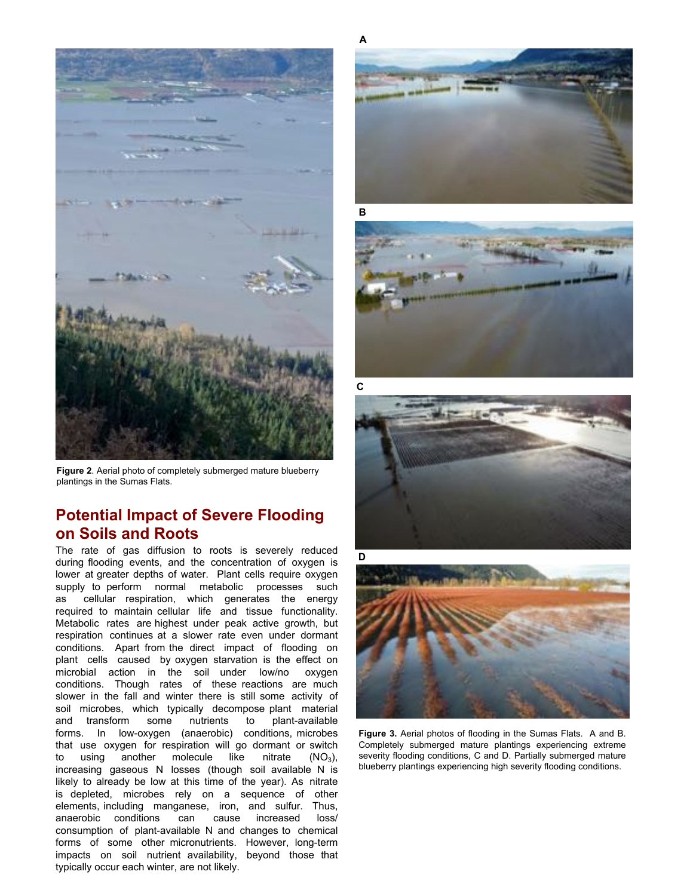

Figure 2. Aerial photo of completely submerged mature blueberry plantings in the Sumas Flats.

### **Potential Impact of Severe Flooding on Soils and Roots**

The rate of gas diffusion to roots is severely reduced during flooding events, and the concentration of oxygen is lower at greater depths of water. Plant cells require oxygen supply to perform normal metabolic processes such as cellular respiration, which generates the energy required to maintain cellular life and tissue functionality. Metabolic rates are highest under peak active growth, but respiration continues at a slower rate even under dormant conditions. Apart from the direct impact of flooding on plant cells caused by oxygen starvation is the effect on microbial action in the soil under low/no oxygen conditions. Though rates of these reactions are much slower in the fall and winter there is still some activity of soil microbes, which typically decompose plant material and transform some nutrients to plant-available forms. In low-oxygen (anaerobic) conditions, microbes that use oxygen for respiration will go dormant or switch to using another molecule like nitrate  $(NO<sub>3</sub>)$ , increasing gaseous N losses (though soil available N is likely to already be low at this time of the year). As nitrate is depleted, microbes rely on a sequence of other elements, including manganese, iron, and sulfur. Thus, anaerobic conditions can cause increased loss consumption of plant-available N and changes to chemical forms of some other micronutrients. However, long-term impacts on soil nutrient availability, beyond those that typically occur each winter, are not likely.









Figure 3. Aerial photos of flooding in the Sumas Flats. A and B. Completely submerged mature plantings experiencing extreme severity flooding conditions, C and D. Partially submerged mature blueberry plantings experiencing high severity flooding conditions.

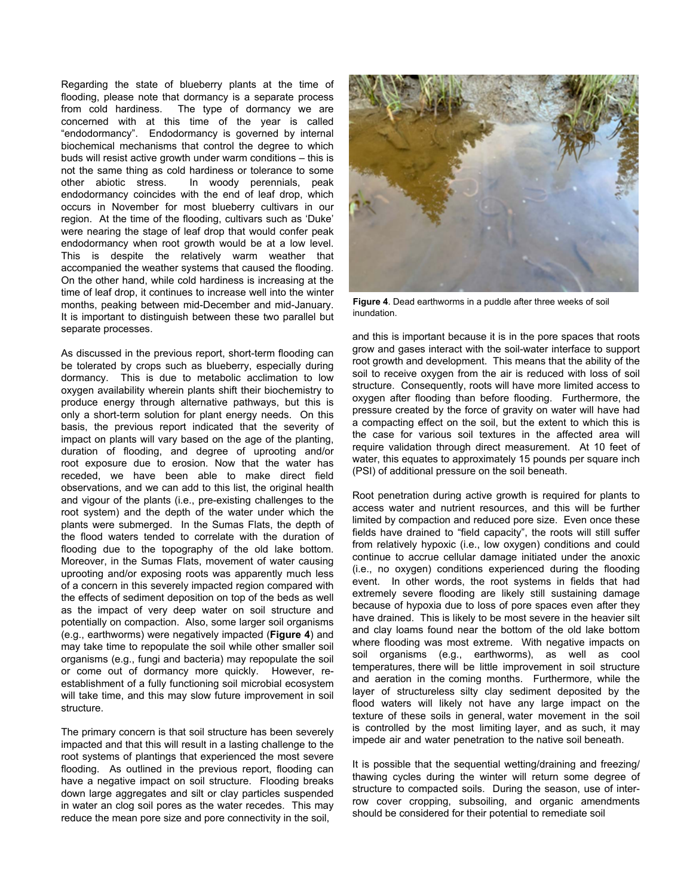Regarding the state of blueberry plants at the time of flooding, please note that dormancy is a separate process from cold hardiness. The type of dormancy we are concerned with at this time of the year is called "endodormancy". Endodormancy is governed by internal biochemical mechanisms that control the degree to which buds will resist active growth under warm conditions  $-$  this is not the same thing as cold hardiness or tolerance to some other abiotic stress. In woody perennials, peak endodormancy coincides with the end of leaf drop, which occurs in November for most blueberry cultivars in our region. At the time of the flooding, cultivars such as 'Duke' were nearing the stage of leaf drop that would confer peak endodormancy when root growth would be at a low level. This is despite the relatively warm weather that accompanied the weather systems that caused the flooding. On the other hand, while cold hardiness is increasing at the time of leaf drop, it continues to increase well into the winter months, peaking between mid-December and mid-January. It is important to distinguish between these two parallel but separate processes.

As discussed in the previous report, short-term flooding can be tolerated by crops such as blueberry, especially during dormancy. This is due to metabolic acclimation to low oxygen availability wherein plants shift their biochemistry to produce energy through alternative pathways, but this is only a short-term solution for plant energy needs. On this basis, the previous report indicated that the severity of impact on plants will vary based on the age of the planting, duration of flooding, and degree of uprooting and/or root exposure due to erosion. Now that the water has receded, we have been able to make direct field observations, and we can add to this list, the original health and vigour of the plants (i.e., pre-existing challenges to the root system) and the depth of the water under which the plants were submerged. In the Sumas Flats, the depth of the flood waters tended to correlate with the duration of flooding due to the topography of the old lake bottom. Moreover, in the Sumas Flats, movement of water causing uprooting and/or exposing roots was apparently much less of a concern in this severely impacted region compared with the effects of sediment deposition on top of the beds as well as the impact of very deep water on soil structure and potentially on compaction. Also, some larger soil organisms (e.g., earthworms) were negatively impacted (**Figure** ) and may take time to repopulate the soil while other smaller soil organisms (e.g., fungi and bacteria) may repopulate the soil or come out of dormancy more quickly. However, reestablishment of a fully functioning soil microbial ecosystem will take time, and this may slow future improvement in soil structure.

The primary concern is that soil structure has been severely impacted and that this will result in a lasting challenge to the root systems of plantings that experienced the most severe flooding. As outlined in the previous report, flooding can have a negative impact on soil structure. Flooding breaks down large aggregates and silt or clay particles suspended in water an clog soil pores as the water recedes. This may reduce the mean pore size and pore connectivity in the soil,



Figure 4. Dead earthworms in a puddle after three weeks of soil inundation.

and this is important because it is in the pore spaces that roots grow and gases interact with the soil-water interface to support root growth and development. This means that the ability of the soil to receive oxygen from the air is reduced with loss of soil structure. Consequently, roots will have more limited access to oxygen after flooding than before flooding. Furthermore, the pressure created by the force of gravity on water will have had a compacting effect on the soil, but the extent to which this is the case for various soil textures in the affected area will require validation through direct measurement. At 10 feet of water, this equates to approximately 15 pounds per square inch (PSI) of additional pressure on the soil beneath.

5oot penetration during active growth is required for plants to access water and nutrient resources, and this will be further limited by compaction and reduced pore size. Even once these fields have drained to "field capacity", the roots will still suffer from relatively hypoxic (i.e., low oxygen) conditions and could continue to accrue cellular damage initiated under the anoxic (i.e., no oxygen) conditions experienced during the flooding event. In other words, the root systems in fields that had extremely severe flooding are likely still sustaining damage because of hypoxia due to loss of pore spaces even after they have drained. This is likely to be most severe in the heavier silt and clay loams found near the bottom of the old lake bottom where flooding was most extreme. With negative impacts on soil organisms (e.g., earthworms), as well as cool temperatures, there will be little improvement in soil structure and aeration in the coming months. Furthermore, while the layer of structureless silty clay sediment deposited by the flood waters will likely not have any large impact on the texture of these soils in general, water movement in the soil is controlled by the most limiting layer, and as such, it may impede air and water penetration to the native soil beneath.

It is possible that the sequential wetting/draining and freezing/ thawing cycles during the winter will return some degree of structure to compacted soils. During the season, use of interrow cover cropping, subsoiling, and organic amendments should be considered for their potential to remediate soil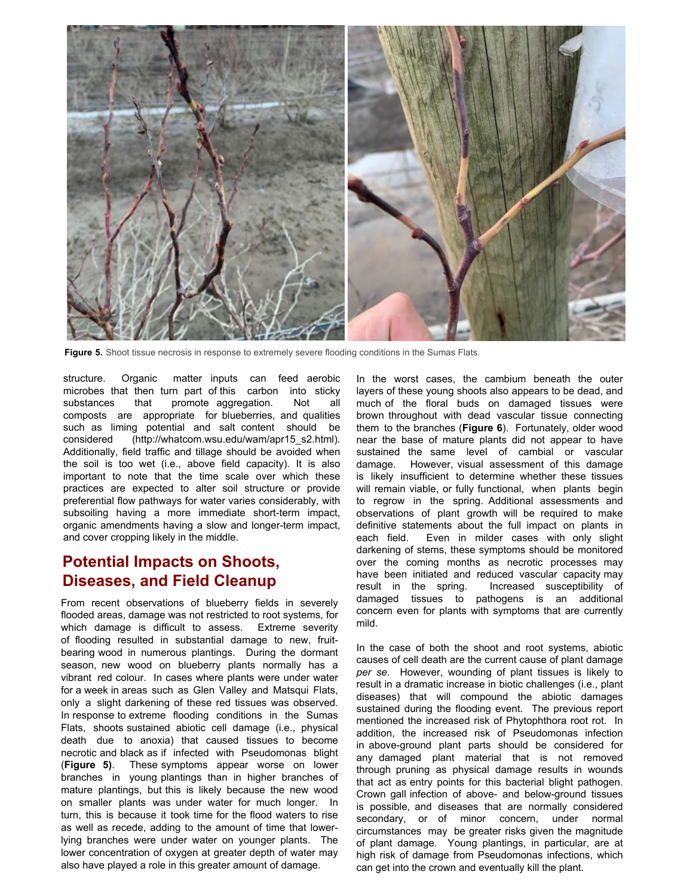

**Figure 5.** Shoot tissue necrosis in response to extremely severe flooding conditions in the Sumas Flats.

structure. Organic matter inputs can feed aerobic microbes that then turn part of this carbon into sticky substances that promote aggregation. Not all composts are appropriate for blueberries, and qualities such as liming potential and salt content should be considered (http://whatcom.wsu.edu/wam/apr15 s2.html). Additionally, field traffic and tillage should be avoided when the soil is too wet (i.e., above field capacity). It is also important to note that the time scale over which these practices are expected to alter soil structure or provide preferential flow pathways for water varies considerably, with subsoiling having a more immediate short-term impact, organic amendments having a slow and longer-term impact, and cover cropping likely in the middle.

### **Potential Impacts on Shoots, Diseases, and Field Cleanup**

From recent observations of blueberry fields in severely flooded areas, damage was not restricted to root systems, for which damage is difficult to assess. Extreme severity of flooding resulted in substantial damage to new, fruitbearing wood in numerous plantings. During the dormant season, new wood on blueberry plants normally has a vibrant red colour. In cases where plants were under water for a week in areas such as Glen Valley and Matsqui Flats, only a slight darkening of these red tissues was observed. In response to extreme flooding conditions in the Sumas Flats, shoots sustained abiotic cell damage (i.e., physical death due to anoxia) that caused tissues to become necrotic and black as if infected with Pseudomonas blight (**Figure**. These symptoms appear worse on lower branches in young plantings than in higher branches of mature plantings, but this is likely because the new wood on smaller plants was under water for much longer. In turn, this is because it took time for the flood waters to rise as well as recede, adding to the amount of time that lowerlying branches were under water on younger plants. The lower concentration of oxygen at greater depth of water may also have played a role in this greater amount of damage.

In the worst cases, the cambium beneath the outer layers of these young shoots also appears to be dead, and much of the floral buds on damaged tissues were brown throughout with dead vascular tissue connecting them to the branches (Figure 6). Fortunately, older wood near the base of mature plants did not appear to have sustained the same level of cambial or vascular damage. However, visual assessment of this damage is likely insufficient to determine whether these tissues will remain viable, or fully functional, when plants begin to regrow in the spring. Additional assessments and observations of plant growth will be required to make definitive statements about the full impact on plants in each field. Even in milder cases with only slight darkening of stems, these symptoms should be monitored over the coming months as necrotic processes may have been initiated and reduced vascular capacity may result in the spring. Increased susceptibility of damaged tissues to pathogens is an additional concern even for plants with symptoms that are currently mild.

In the case of both the shoot and root systems, abiotic causes of cell death are the current cause of plant damage *per se*. However, wounding of plant tissues is likely to result in a dramatic increase in biotic challenges (i.e., plant diseases) that will compound the abiotic damages sustained during the flooding event. The previous report mentioned the increased risk of Phytophthora root rot. In addition, the increased risk of Pseudomonas infection in above-ground plant parts should be considered for any damaged plant material that is not removed through pruning as physical damage results in wounds that act as entry points for this bacterial blight pathogen. Crown gall infection of above- and below-ground tissues is possible, and diseases that are normally considered secondary, or of minor concern, under normal circumstances may be greater risks given the magnitude of plant damage. Young plantings, in particular, are at high risk of damage from Pseudomonas infections, which can get into the crown and eventually kill the plant.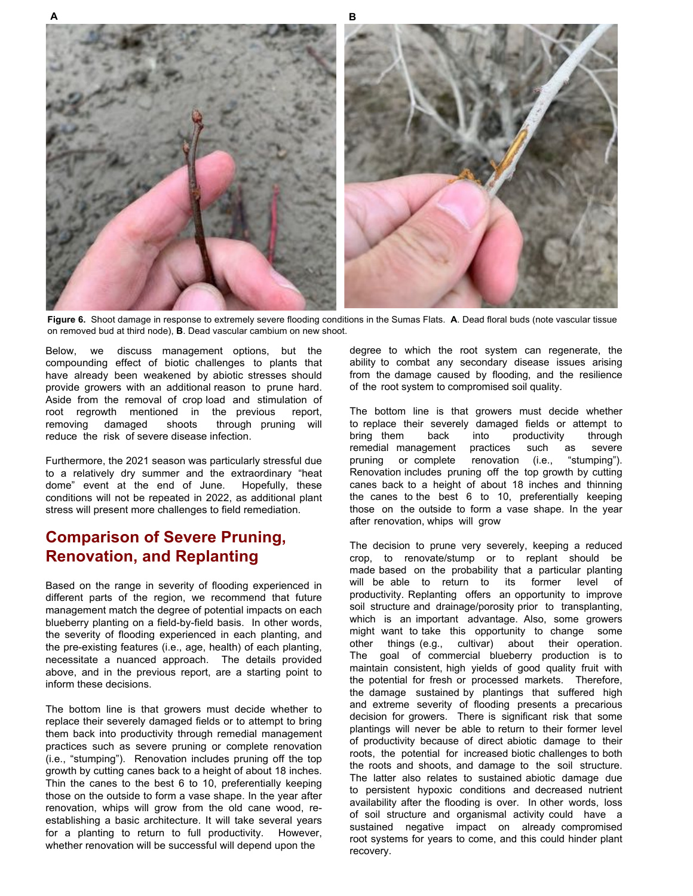

Figure 6. Shoot damage in response to extremely severe flooding conditions in the Sumas Flats. A. Dead floral buds (note vascular tissue on removed bud at third node), **B**. Dead vascular cambium on new shoot.

Below, we discuss management options, but the compounding effect of biotic challenges to plants that have already been weakened by abiotic stresses should provide growers with an additional reason to prune hard. Aside from the removal of crop load and stimulation of root regrowth mentioned in the previous report, removing damaged shoots through pruning will reduce the risk of severe disease infection.

Furthermore, the 2021 season was particularly stressful due to a relatively dry summer and the extraordinary "heat dome" event at the end of June. Hopefully, these conditions will not be repeated in 2022, as additional plant stress will present more challenges to field remediation.

#### **Comparison of Severe Pruning, Renovation, and Replanting**

Based on the range in severity of flooding experienced in different parts of the region, we recommend that future management match the degree of potential impacts on each blueberry planting on a field-by-field basis. In other words, the severity of flooding experienced in each planting, and the pre-existing features (i.e., age, health) of each planting, necessitate a nuanced approach. The details provided above, and in the previous report, are a starting point to inform these decisions.

The bottom line is that growers must decide whether to replace their severely damaged fields or to attempt to bring them back into productivity through remedial management practices such as severe pruning or complete renovation (i.e., "stumping"). Renovation includes pruning off the top growth by cutting canes back to a height of about 18 inches. Thin the canes to the best 6 to 10, preferentially keeping those on the outside to form a vase shape. In the year after renovation, whips will grow from the old cane wood, reestablishing a basic architecture. It will take several years for a planting to return to full productivity. However, whether renovation will be successful will depend upon the

degree to which the root system can regenerate, the ability to combat any secondary disease issues arising from the damage caused by flooding, and the resilience of the root system to compromised soil quality.

The bottom line is that growers must decide whether to replace their severely damaged fields or attempt to bring them back into productivity through remedial management practices such as severe pruning or complete renovation (i.e., "stumping"). Renovation includes pruning off the top growth by cutting canes back to a height of about 18 inches and thinning the canes to the best  $6$  to 10, preferentially keeping those on the outside to form a vase shape. In the year after renovation, whips will grow

The decision to prune very severely, keeping a reduced crop, to renovate/stump or to replant should be made based on the probability that a particular planting will be able to return to its former level of productivity. Replanting offers an opportunity to improve soil structure and drainage/porosity prior to transplanting, which is an important advantage. Also, some growers might want to take this opportunity to change some other things (e.g., cultivar) about their operation. The goal of commercial blueberry production is to maintain consistent, high yields of good quality fruit with the potential for fresh or processed markets. Therefore, the damage sustained by plantings that suffered high and extreme severity of flooding presents a precarious decision for growers. There is significant risk that some plantings will never be able to return to their former level of productivity because of direct abiotic damage to their roots, the potential for increased biotic challenges to both the roots and shoots, and damage to the soil structure. The latter also relates to sustained abiotic damage due to persistent hypoxic conditions and decreased nutrient availability after the flooding is over. In other words, loss of soil structure and organismal activity could have a sustained negative impact on already compromised root systems for years to come, and this could hinder plant recovery.

**\$ B**